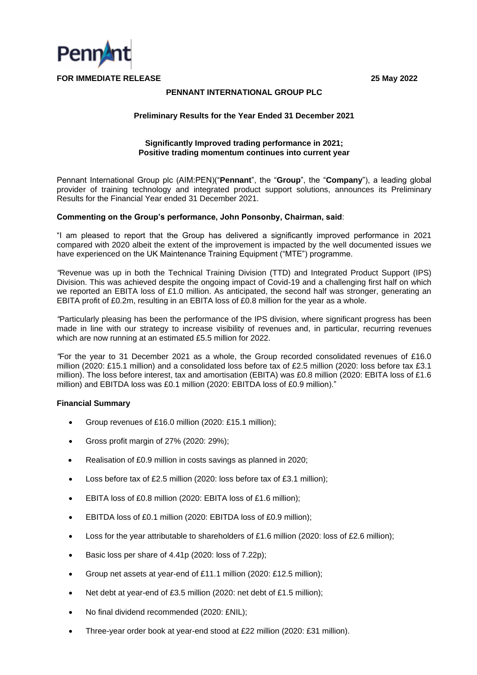

# **PENNANT INTERNATIONAL GROUP PLC**

#### **Preliminary Results for the Year Ended 31 December 2021**

# **Significantly Improved trading performance in 2021; Positive trading momentum continues into current year**

Pennant International Group plc (AIM:PEN)("**Pennant**", the "**Group**", the "**Company**"), a leading global provider of training technology and integrated product support solutions, announces its Preliminary Results for the Financial Year ended 31 December 2021.

#### **Commenting on the Group's performance, John Ponsonby, Chairman, said**:

"I am pleased to report that the Group has delivered a significantly improved performance in 2021 compared with 2020 albeit the extent of the improvement is impacted by the well documented issues we have experienced on the UK Maintenance Training Equipment ("MTE") programme.

*"*Revenue was up in both the Technical Training Division (TTD) and Integrated Product Support (IPS) Division. This was achieved despite the ongoing impact of Covid-19 and a challenging first half on which we reported an EBITA loss of £1.0 million. As anticipated, the second half was stronger, generating an EBITA profit of £0.2m, resulting in an EBITA loss of £0.8 million for the year as a whole.

*"*Particularly pleasing has been the performance of the IPS division, where significant progress has been made in line with our strategy to increase visibility of revenues and, in particular, recurring revenues which are now running at an estimated £5.5 million for 2022.

*"*For the year to 31 December 2021 as a whole, the Group recorded consolidated revenues of £16.0 million (2020: £15.1 million) and a consolidated loss before tax of £2.5 million (2020: loss before tax £3.1 million). The loss before interest, tax and amortisation (EBITA) was £0.8 million (2020: EBITA loss of £1.6 million) and EBITDA loss was £0.1 million (2020: EBITDA loss of £0.9 million)."

# **Financial Summary**

- Group revenues of £16.0 million (2020: £15.1 million);
- Gross profit margin of 27% (2020: 29%);
- Realisation of £0.9 million in costs savings as planned in 2020;
- Loss before tax of £2.5 million (2020: loss before tax of £3.1 million);
- EBITA loss of £0.8 million (2020: EBITA loss of £1.6 million);
- EBITDA loss of £0.1 million (2020: EBITDA loss of £0.9 million);
- Loss for the year attributable to shareholders of £1.6 million (2020: loss of £2.6 million);
- Basic loss per share of 4.41p (2020: loss of 7.22p);
- Group net assets at year-end of £11.1 million (2020: £12.5 million);
- Net debt at year-end of £3.5 million (2020: net debt of £1.5 million);
- No final dividend recommended (2020: £NIL);
- Three-year order book at year-end stood at £22 million (2020: £31 million).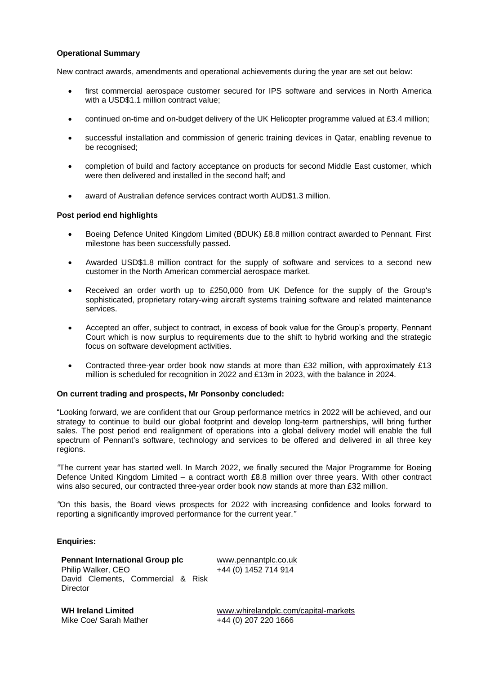# **Operational Summary**

New contract awards, amendments and operational achievements during the year are set out below:

- first commercial aerospace customer secured for IPS software and services in North America with a USD\$1.1 million contract value;
- continued on-time and on-budget delivery of the UK Helicopter programme valued at £3.4 million;
- successful installation and commission of generic training devices in Qatar, enabling revenue to be recognised;
- completion of build and factory acceptance on products for second Middle East customer, which were then delivered and installed in the second half; and
- award of Australian defence services contract worth AUD\$1.3 million.

# **Post period end highlights**

- Boeing Defence United Kingdom Limited (BDUK) £8.8 million contract awarded to Pennant. First milestone has been successfully passed.
- Awarded USD\$1.8 million contract for the supply of software and services to a second new customer in the North American commercial aerospace market.
- Received an order worth up to £250,000 from UK Defence for the supply of the Group's sophisticated, proprietary rotary-wing aircraft systems training software and related maintenance services.
- Accepted an offer, subject to contract, in excess of book value for the Group's property, Pennant Court which is now surplus to requirements due to the shift to hybrid working and the strategic focus on software development activities.
- Contracted three-year order book now stands at more than £32 million, with approximately £13 million is scheduled for recognition in 2022 and £13m in 2023, with the balance in 2024.

# **On current trading and prospects, Mr Ponsonby concluded:**

"Looking forward, we are confident that our Group performance metrics in 2022 will be achieved, and our strategy to continue to build our global footprint and develop long-term partnerships, will bring further sales. The post period end realignment of operations into a global delivery model will enable the full spectrum of Pennant's software, technology and services to be offered and delivered in all three key regions.

*"*The current year has started well. In March 2022, we finally secured the Major Programme for Boeing Defence United Kingdom Limited – a contract worth £8.8 million over three years. With other contract wins also secured, our contracted three-year order book now stands at more than £32 million.

*"*On this basis, the Board views prospects for 2022 with increasing confidence and looks forward to reporting a significantly improved performance for the current year.*"*

# **Enquiries:**

**Pennant International Group plc** [www.pennantplc.co.uk](http://www.pennantplc.co.uk/) Philip Walker, CEO David Clements, Commercial & Risk **Director** 

+44 (0) 1452 714 914

**WH Ireland Limited**<br>Mike Coe/ Sarah Mather **[www.whirelandplc.com/capital-markets](http://www.whirelandplc.com/capital-markets)**<br> $+44$  (0) 207 220 1666  $+44$  (0) 207 220 1666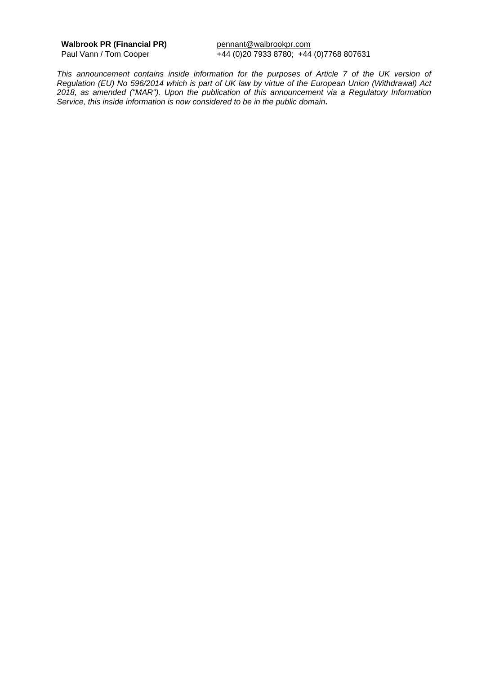Walbrook PR (Financial PR) pennant@walbrookpr.com

Paul Vann / Tom Cooper +44 (0)20 7933 8780; +44 (0)7768 807631

*This announcement contains inside information for the purposes of Article 7 of the UK version of Regulation (EU) No 596/2014 which is part of UK law by virtue of the European Union (Withdrawal) Act 2018, as amended ("MAR"). Upon the publication of this announcement via a Regulatory Information Service, this inside information is now considered to be in the public domain***.**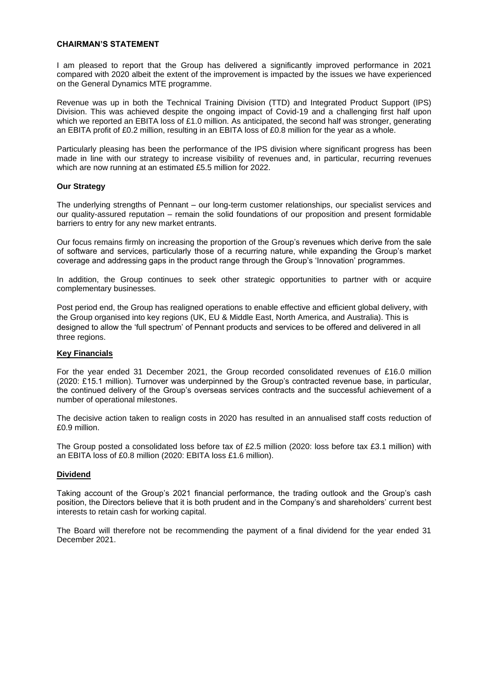#### **CHAIRMAN'S STATEMENT**

I am pleased to report that the Group has delivered a significantly improved performance in 2021 compared with 2020 albeit the extent of the improvement is impacted by the issues we have experienced on the General Dynamics MTE programme.

Revenue was up in both the Technical Training Division (TTD) and Integrated Product Support (IPS) Division. This was achieved despite the ongoing impact of Covid-19 and a challenging first half upon which we reported an EBITA loss of £1.0 million. As anticipated, the second half was stronger, generating an EBITA profit of £0.2 million, resulting in an EBITA loss of £0.8 million for the year as a whole.

Particularly pleasing has been the performance of the IPS division where significant progress has been made in line with our strategy to increase visibility of revenues and, in particular, recurring revenues which are now running at an estimated £5.5 million for 2022.

# **Our Strategy**

The underlying strengths of Pennant – our long-term customer relationships, our specialist services and our quality-assured reputation – remain the solid foundations of our proposition and present formidable barriers to entry for any new market entrants.

Our focus remains firmly on increasing the proportion of the Group's revenues which derive from the sale of software and services, particularly those of a recurring nature, while expanding the Group's market coverage and addressing gaps in the product range through the Group's 'Innovation' programmes.

In addition, the Group continues to seek other strategic opportunities to partner with or acquire complementary businesses.

Post period end, the Group has realigned operations to enable effective and efficient global delivery, with the Group organised into key regions (UK, EU & Middle East, North America, and Australia). This is designed to allow the 'full spectrum' of Pennant products and services to be offered and delivered in all three regions.

# **Key Financials**

For the year ended 31 December 2021, the Group recorded consolidated revenues of £16.0 million (2020: £15.1 million). Turnover was underpinned by the Group's contracted revenue base, in particular, the continued delivery of the Group's overseas services contracts and the successful achievement of a number of operational milestones.

The decisive action taken to realign costs in 2020 has resulted in an annualised staff costs reduction of £0.9 million.

The Group posted a consolidated loss before tax of £2.5 million (2020: loss before tax £3.1 million) with an EBITA loss of £0.8 million (2020: EBITA loss £1.6 million).

# **Dividend**

Taking account of the Group's 2021 financial performance, the trading outlook and the Group's cash position, the Directors believe that it is both prudent and in the Company's and shareholders' current best interests to retain cash for working capital.

The Board will therefore not be recommending the payment of a final dividend for the year ended 31 December 2021.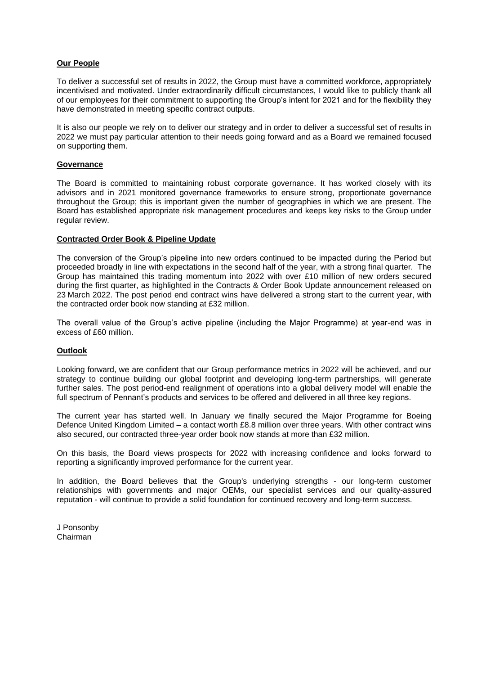# **Our People**

To deliver a successful set of results in 2022, the Group must have a committed workforce, appropriately incentivised and motivated. Under extraordinarily difficult circumstances, I would like to publicly thank all of our employees for their commitment to supporting the Group's intent for 2021 and for the flexibility they have demonstrated in meeting specific contract outputs.

It is also our people we rely on to deliver our strategy and in order to deliver a successful set of results in 2022 we must pay particular attention to their needs going forward and as a Board we remained focused on supporting them.

# **Governance**

The Board is committed to maintaining robust corporate governance. It has worked closely with its advisors and in 2021 monitored governance frameworks to ensure strong, proportionate governance throughout the Group; this is important given the number of geographies in which we are present. The Board has established appropriate risk management procedures and keeps key risks to the Group under regular review.

# **Contracted Order Book & Pipeline Update**

The conversion of the Group's pipeline into new orders continued to be impacted during the Period but proceeded broadly in line with expectations in the second half of the year, with a strong final quarter. The Group has maintained this trading momentum into 2022 with over £10 million of new orders secured during the first quarter, as highlighted in the Contracts & Order Book Update announcement released on 23 March 2022. The post period end contract wins have delivered a strong start to the current year, with the contracted order book now standing at £32 million.

The overall value of the Group's active pipeline (including the Major Programme) at year-end was in excess of £60 million.

# **Outlook**

Looking forward, we are confident that our Group performance metrics in 2022 will be achieved, and our strategy to continue building our global footprint and developing long-term partnerships, will generate further sales. The post period-end realignment of operations into a global delivery model will enable the full spectrum of Pennant's products and services to be offered and delivered in all three key regions.

The current year has started well. In January we finally secured the Major Programme for Boeing Defence United Kingdom Limited – a contact worth £8.8 million over three years. With other contract wins also secured, our contracted three-year order book now stands at more than £32 million.

On this basis, the Board views prospects for 2022 with increasing confidence and looks forward to reporting a significantly improved performance for the current year.

In addition, the Board believes that the Group's underlying strengths - our long-term customer relationships with governments and major OEMs, our specialist services and our quality-assured reputation - will continue to provide a solid foundation for continued recovery and long-term success.

J Ponsonby Chairman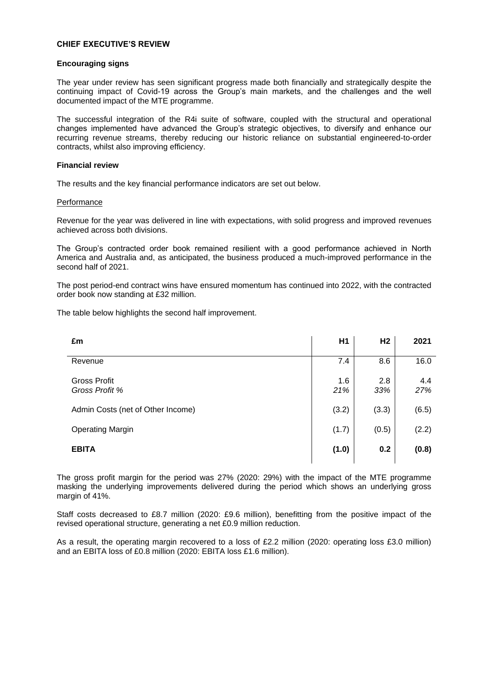# **CHIEF EXECUTIVE'S REVIEW**

#### **Encouraging signs**

The year under review has seen significant progress made both financially and strategically despite the continuing impact of Covid-19 across the Group's main markets, and the challenges and the well documented impact of the MTE programme.

The successful integration of the R4i suite of software, coupled with the structural and operational changes implemented have advanced the Group's strategic objectives, to diversify and enhance our recurring revenue streams, thereby reducing our historic reliance on substantial engineered-to-order contracts, whilst also improving efficiency.

# **Financial review**

The results and the key financial performance indicators are set out below.

#### **Performance**

Revenue for the year was delivered in line with expectations, with solid progress and improved revenues achieved across both divisions.

The Group's contracted order book remained resilient with a good performance achieved in North America and Australia and, as anticipated, the business produced a much-improved performance in the second half of 2021.

The post period-end contract wins have ensured momentum has continued into 2022, with the contracted order book now standing at £32 million.

The table below highlights the second half improvement.

| £m                                    | H <sub>1</sub> | H <sub>2</sub> | 2021       |
|---------------------------------------|----------------|----------------|------------|
| Revenue                               | 7.4            | 8.6            | 16.0       |
| <b>Gross Profit</b><br>Gross Profit % | 1.6<br>21%     | 2.8<br>33%     | 4.4<br>27% |
| Admin Costs (net of Other Income)     | (3.2)          | (3.3)          | (6.5)      |
| <b>Operating Margin</b>               | (1.7)          | (0.5)          | (2.2)      |
| <b>EBITA</b>                          | (1.0)          | 0.2            | (0.8)      |

The gross profit margin for the period was 27% (2020: 29%) with the impact of the MTE programme masking the underlying improvements delivered during the period which shows an underlying gross margin of 41%.

Staff costs decreased to £8.7 million (2020: £9.6 million), benefitting from the positive impact of the revised operational structure, generating a net £0.9 million reduction.

As a result, the operating margin recovered to a loss of £2.2 million (2020: operating loss £3.0 million) and an EBITA loss of £0.8 million (2020: EBITA loss £1.6 million).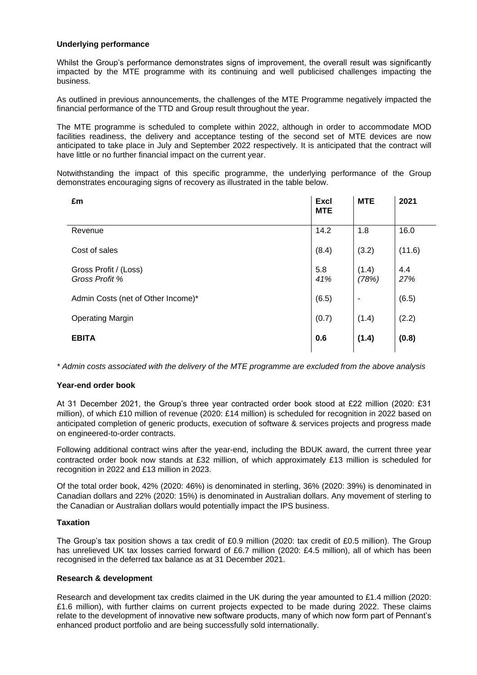# **Underlying performance**

Whilst the Group's performance demonstrates signs of improvement, the overall result was significantly impacted by the MTE programme with its continuing and well publicised challenges impacting the business.

As outlined in previous announcements, the challenges of the MTE Programme negatively impacted the financial performance of the TTD and Group result throughout the year.

The MTE programme is scheduled to complete within 2022, although in order to accommodate MOD facilities readiness, the delivery and acceptance testing of the second set of MTE devices are now anticipated to take place in July and September 2022 respectively. It is anticipated that the contract will have little or no further financial impact on the current year.

Notwithstanding the impact of this specific programme, the underlying performance of the Group demonstrates encouraging signs of recovery as illustrated in the table below.

| £m                                      | <b>Excl</b><br><b>MTE</b> | <b>MTE</b>     | 2021       |
|-----------------------------------------|---------------------------|----------------|------------|
| Revenue                                 | 14.2                      | 1.8            | 16.0       |
| Cost of sales                           | (8.4)                     | (3.2)          | (11.6)     |
| Gross Profit / (Loss)<br>Gross Profit % | 5.8<br>41%                | (1.4)<br>(78%) | 4.4<br>27% |
| Admin Costs (net of Other Income)*      | (6.5)                     | ۰              | (6.5)      |
| <b>Operating Margin</b>                 | (0.7)                     | (1.4)          | (2.2)      |
| <b>EBITA</b>                            | 0.6                       | (1.4)          | (0.8)      |

*\* Admin costs associated with the delivery of the MTE programme are excluded from the above analysis*

# **Year-end order book**

At 31 December 2021, the Group's three year contracted order book stood at £22 million (2020: £31 million), of which £10 million of revenue (2020: £14 million) is scheduled for recognition in 2022 based on anticipated completion of generic products, execution of software & services projects and progress made on engineered-to-order contracts.

Following additional contract wins after the year-end, including the BDUK award, the current three year contracted order book now stands at £32 million, of which approximately £13 million is scheduled for recognition in 2022 and £13 million in 2023.

Of the total order book, 42% (2020: 46%) is denominated in sterling, 36% (2020: 39%) is denominated in Canadian dollars and 22% (2020: 15%) is denominated in Australian dollars. Any movement of sterling to the Canadian or Australian dollars would potentially impact the IPS business.

# **Taxation**

The Group's tax position shows a tax credit of £0.9 million (2020: tax credit of £0.5 million). The Group has unrelieved UK tax losses carried forward of £6.7 million (2020: £4.5 million), all of which has been recognised in the deferred tax balance as at 31 December 2021.

# **Research & development**

Research and development tax credits claimed in the UK during the year amounted to £1.4 million (2020: £1.6 million), with further claims on current projects expected to be made during 2022. These claims relate to the development of innovative new software products, many of which now form part of Pennant's enhanced product portfolio and are being successfully sold internationally.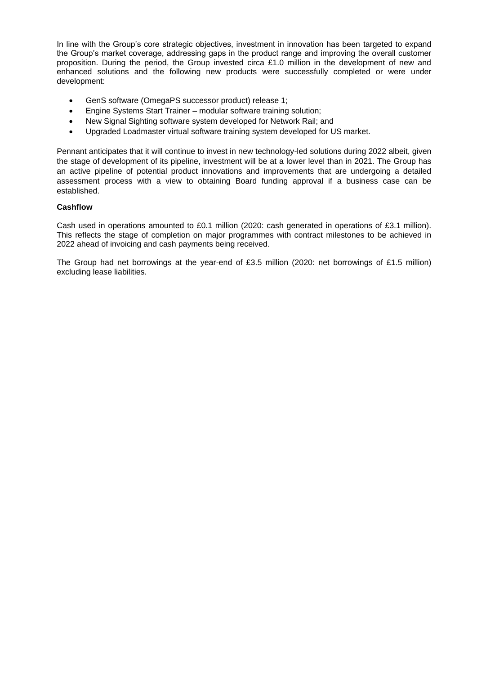In line with the Group's core strategic objectives, investment in innovation has been targeted to expand the Group's market coverage, addressing gaps in the product range and improving the overall customer proposition. During the period, the Group invested circa £1.0 million in the development of new and enhanced solutions and the following new products were successfully completed or were under development:

- GenS software (OmegaPS successor product) release 1;
- Engine Systems Start Trainer modular software training solution;
- New Signal Sighting software system developed for Network Rail; and
- Upgraded Loadmaster virtual software training system developed for US market.

Pennant anticipates that it will continue to invest in new technology-led solutions during 2022 albeit, given the stage of development of its pipeline, investment will be at a lower level than in 2021. The Group has an active pipeline of potential product innovations and improvements that are undergoing a detailed assessment process with a view to obtaining Board funding approval if a business case can be established.

# **Cashflow**

Cash used in operations amounted to £0.1 million (2020: cash generated in operations of £3.1 million). This reflects the stage of completion on major programmes with contract milestones to be achieved in 2022 ahead of invoicing and cash payments being received.

The Group had net borrowings at the year-end of £3.5 million (2020: net borrowings of £1.5 million) excluding lease liabilities.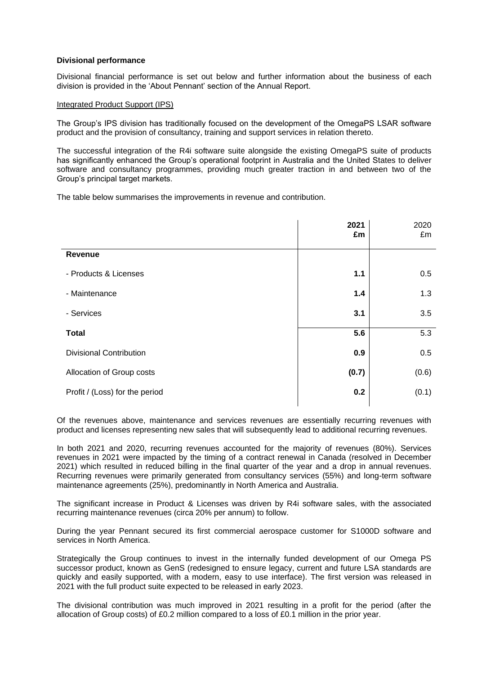# **Divisional performance**

Divisional financial performance is set out below and further information about the business of each division is provided in the 'About Pennant' section of the Annual Report.

# Integrated Product Support (IPS)

The Group's IPS division has traditionally focused on the development of the OmegaPS LSAR software product and the provision of consultancy, training and support services in relation thereto.

The successful integration of the R4i software suite alongside the existing OmegaPS suite of products has significantly enhanced the Group's operational footprint in Australia and the United States to deliver software and consultancy programmes, providing much greater traction in and between two of the Group's principal target markets.

The table below summarises the improvements in revenue and contribution.

|                                | 2021<br>£m | 2020<br>£m |
|--------------------------------|------------|------------|
| Revenue                        |            |            |
| - Products & Licenses          | 1.1        | 0.5        |
| - Maintenance                  | 1.4        | 1.3        |
| - Services                     | 3.1        | 3.5        |
| <b>Total</b>                   | 5.6        | 5.3        |
| <b>Divisional Contribution</b> | 0.9        | 0.5        |
| Allocation of Group costs      | (0.7)      | (0.6)      |
| Profit / (Loss) for the period | 0.2        | (0.1)      |

Of the revenues above, maintenance and services revenues are essentially recurring revenues with product and licenses representing new sales that will subsequently lead to additional recurring revenues.

In both 2021 and 2020, recurring revenues accounted for the majority of revenues (80%). Services revenues in 2021 were impacted by the timing of a contract renewal in Canada (resolved in December 2021) which resulted in reduced billing in the final quarter of the year and a drop in annual revenues. Recurring revenues were primarily generated from consultancy services (55%) and long-term software maintenance agreements (25%), predominantly in North America and Australia.

The significant increase in Product & Licenses was driven by R4i software sales, with the associated recurring maintenance revenues (circa 20% per annum) to follow.

During the year Pennant secured its first commercial aerospace customer for S1000D software and services in North America.

Strategically the Group continues to invest in the internally funded development of our Omega PS successor product, known as GenS (redesigned to ensure legacy, current and future LSA standards are quickly and easily supported, with a modern, easy to use interface). The first version was released in 2021 with the full product suite expected to be released in early 2023.

The divisional contribution was much improved in 2021 resulting in a profit for the period (after the allocation of Group costs) of £0.2 million compared to a loss of £0.1 million in the prior year.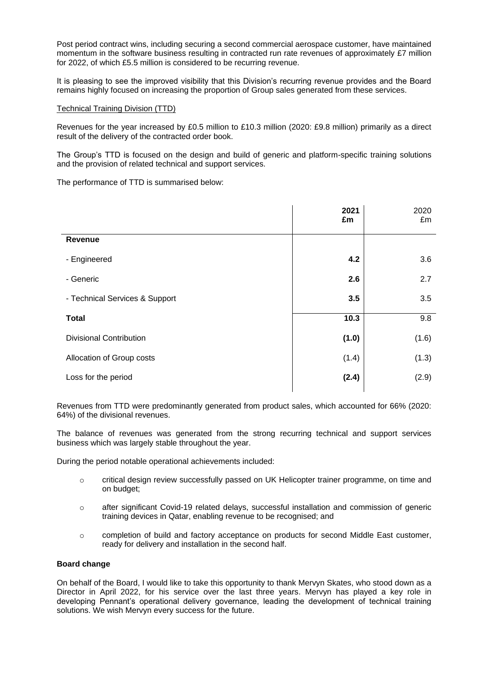Post period contract wins, including securing a second commercial aerospace customer, have maintained momentum in the software business resulting in contracted run rate revenues of approximately £7 million for 2022, of which £5.5 million is considered to be recurring revenue.

It is pleasing to see the improved visibility that this Division's recurring revenue provides and the Board remains highly focused on increasing the proportion of Group sales generated from these services.

# Technical Training Division (TTD)

Revenues for the year increased by £0.5 million to £10.3 million (2020: £9.8 million) primarily as a direct result of the delivery of the contracted order book.

The Group's TTD is focused on the design and build of generic and platform-specific training solutions and the provision of related technical and support services.

The performance of TTD is summarised below:

|                                | 2021<br>£m | 2020<br>£m |
|--------------------------------|------------|------------|
| Revenue                        |            |            |
| - Engineered                   | 4.2        | 3.6        |
| - Generic                      | 2.6        | 2.7        |
| - Technical Services & Support | 3.5        | 3.5        |
| <b>Total</b>                   | 10.3       | 9.8        |
| <b>Divisional Contribution</b> | (1.0)      | (1.6)      |
| Allocation of Group costs      | (1.4)      | (1.3)      |
| Loss for the period            | (2.4)      | (2.9)      |

Revenues from TTD were predominantly generated from product sales, which accounted for 66% (2020: 64%) of the divisional revenues.

The balance of revenues was generated from the strong recurring technical and support services business which was largely stable throughout the year.

During the period notable operational achievements included:

- o critical design review successfully passed on UK Helicopter trainer programme, on time and on budget;
- o after significant Covid-19 related delays, successful installation and commission of generic training devices in Qatar, enabling revenue to be recognised; and
- o completion of build and factory acceptance on products for second Middle East customer, ready for delivery and installation in the second half.

# **Board change**

On behalf of the Board, I would like to take this opportunity to thank Mervyn Skates, who stood down as a Director in April 2022, for his service over the last three years. Mervyn has played a key role in developing Pennant's operational delivery governance, leading the development of technical training solutions. We wish Mervyn every success for the future.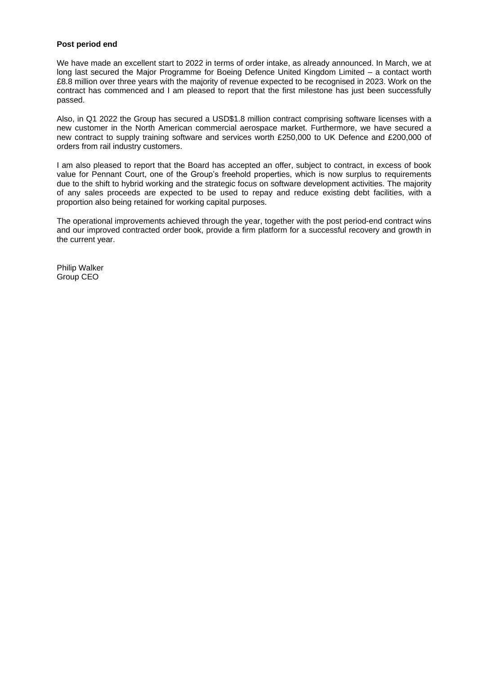# **Post period end**

We have made an excellent start to 2022 in terms of order intake, as already announced. In March, we at long last secured the Major Programme for Boeing Defence United Kingdom Limited – a contact worth £8.8 million over three years with the majority of revenue expected to be recognised in 2023. Work on the contract has commenced and I am pleased to report that the first milestone has just been successfully passed.

Also, in Q1 2022 the Group has secured a USD\$1.8 million contract comprising software licenses with a new customer in the North American commercial aerospace market. Furthermore, we have secured a new contract to supply training software and services worth £250,000 to UK Defence and £200,000 of orders from rail industry customers.

I am also pleased to report that the Board has accepted an offer, subject to contract, in excess of book value for Pennant Court, one of the Group's freehold properties, which is now surplus to requirements due to the shift to hybrid working and the strategic focus on software development activities. The majority of any sales proceeds are expected to be used to repay and reduce existing debt facilities, with a proportion also being retained for working capital purposes.

The operational improvements achieved through the year, together with the post period-end contract wins and our improved contracted order book, provide a firm platform for a successful recovery and growth in the current year.

Philip Walker Group CEO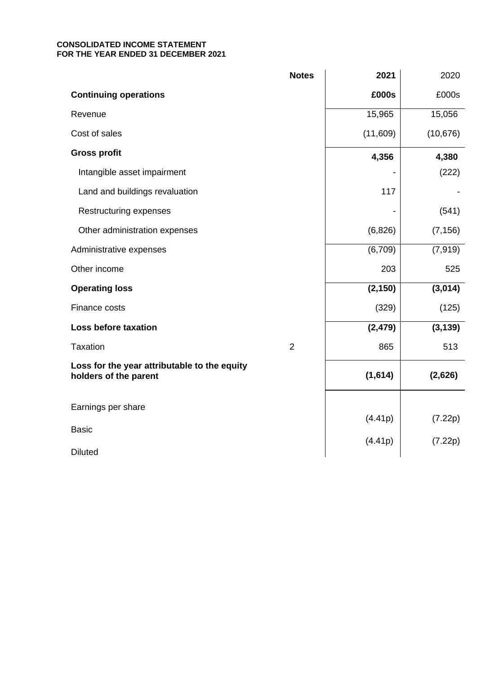# **CONSOLIDATED INCOME STATEMENT FOR THE YEAR ENDED 31 DECEMBER 2021**

|                                                                       | <b>Notes</b>   | 2021     | 2020      |
|-----------------------------------------------------------------------|----------------|----------|-----------|
| <b>Continuing operations</b>                                          |                | £000s    | £000s     |
| Revenue                                                               |                | 15,965   | 15,056    |
| Cost of sales                                                         |                | (11,609) | (10, 676) |
| <b>Gross profit</b>                                                   |                | 4,356    | 4,380     |
| Intangible asset impairment                                           |                |          | (222)     |
| Land and buildings revaluation                                        |                | 117      |           |
| <b>Restructuring expenses</b>                                         |                |          | (541)     |
| Other administration expenses                                         |                | (6,826)  | (7, 156)  |
| Administrative expenses                                               |                | (6,709)  | (7, 919)  |
| Other income                                                          |                | 203      | 525       |
| <b>Operating loss</b>                                                 |                | (2, 150) | (3,014)   |
| Finance costs                                                         |                | (329)    | (125)     |
| <b>Loss before taxation</b>                                           |                | (2, 479) | (3, 139)  |
| <b>Taxation</b>                                                       | $\overline{2}$ | 865      | 513       |
| Loss for the year attributable to the equity<br>holders of the parent |                | (1,614)  | (2,626)   |
| Earnings per share                                                    |                |          |           |
| <b>Basic</b>                                                          |                | (4.41p)  | (7.22p)   |
|                                                                       |                | (4.41p)  | (7.22p)   |
| <b>Diluted</b>                                                        |                |          |           |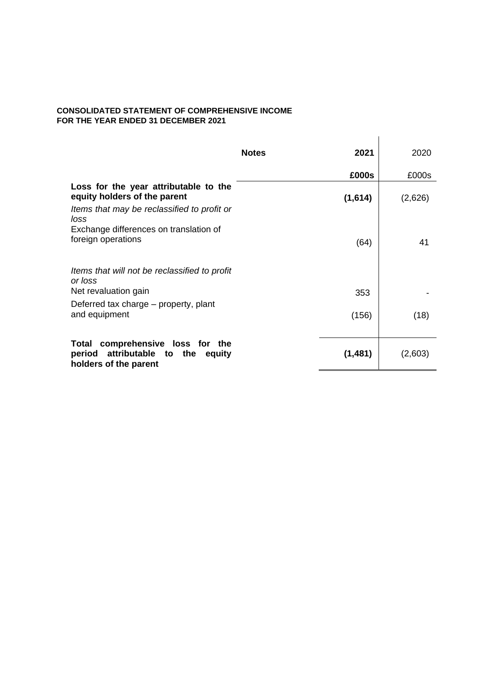# **CONSOLIDATED STATEMENT OF COMPREHENSIVE INCOME FOR THE YEAR ENDED 31 DECEMBER 2021**

|                                                                                                                              | <b>Notes</b> | 2021    | 2020    |
|------------------------------------------------------------------------------------------------------------------------------|--------------|---------|---------|
|                                                                                                                              |              | £000s   | £000s   |
| Loss for the year attributable to the<br>equity holders of the parent<br>Items that may be reclassified to profit or<br>loss |              | (1,614) | (2,626) |
| Exchange differences on translation of<br>foreign operations                                                                 |              | (64)    | 41      |
| Items that will not be reclassified to profit<br>or loss<br>Net revaluation gain                                             |              | 353     |         |
| Deferred tax charge – property, plant<br>and equipment                                                                       |              | (156)   | (18)    |
| comprehensive loss for the<br>Total<br>attributable<br>period<br>to<br>the<br>equity<br>holders of the parent                |              | (1,481) | (2,603) |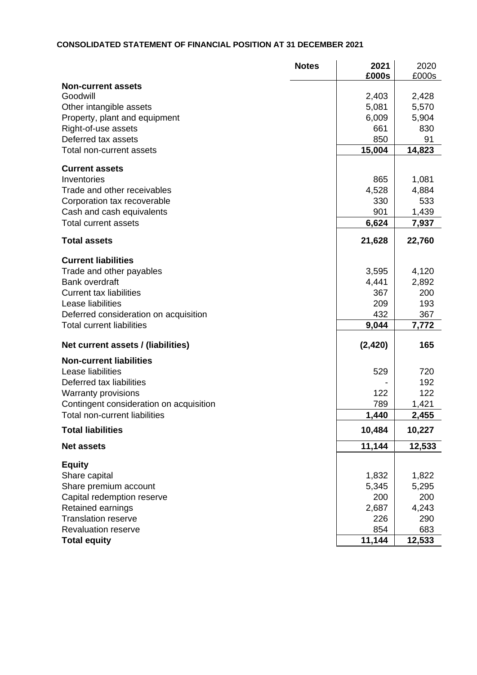# **CONSOLIDATED STATEMENT OF FINANCIAL POSITION AT 31 DECEMBER 2021**

|                                         | <b>Notes</b> | 2021<br>£000s | 2020<br>£000s |
|-----------------------------------------|--------------|---------------|---------------|
| <b>Non-current assets</b>               |              |               |               |
| Goodwill                                |              | 2,403         | 2,428         |
| Other intangible assets                 |              | 5,081         | 5,570         |
| Property, plant and equipment           |              | 6,009         | 5,904         |
| Right-of-use assets                     |              | 661           | 830           |
| Deferred tax assets                     |              | 850           | 91            |
| Total non-current assets                |              | 15,004        | 14,823        |
| <b>Current assets</b>                   |              |               |               |
| Inventories                             |              | 865           | 1,081         |
| Trade and other receivables             |              | 4,528         | 4,884         |
| Corporation tax recoverable             |              | 330           | 533           |
| Cash and cash equivalents               |              | 901           | 1,439         |
| <b>Total current assets</b>             |              | 6,624         | 7,937         |
| <b>Total assets</b>                     |              | 21,628        | 22,760        |
| <b>Current liabilities</b>              |              |               |               |
| Trade and other payables                |              | 3,595         | 4,120         |
| <b>Bank overdraft</b>                   |              | 4,441         | 2,892         |
| <b>Current tax liabilities</b>          |              | 367           | 200           |
| Lease liabilities                       |              | 209           | 193           |
| Deferred consideration on acquisition   |              | 432           | 367           |
| <b>Total current liabilities</b>        |              | 9,044         | 7,772         |
| Net current assets / (liabilities)      |              | (2, 420)      | 165           |
| <b>Non-current liabilities</b>          |              |               |               |
| Lease liabilities                       |              | 529           | 720           |
| Deferred tax liabilities                |              |               | 192           |
| <b>Warranty provisions</b>              |              | 122           | 122           |
| Contingent consideration on acquisition |              | 789           | 1,421         |
| <b>Total non-current liabilities</b>    |              | 1,440         | 2,455         |
| <b>Total liabilities</b>                |              | 10,484        | 10,227        |
| <b>Net assets</b>                       |              | 11,144        | 12,533        |
| <b>Equity</b>                           |              |               |               |
| Share capital                           |              | 1,832         | 1,822         |
| Share premium account                   |              | 5,345         | 5,295         |
| Capital redemption reserve              |              | 200           | 200           |
| Retained earnings                       |              | 2,687         | 4,243         |
| <b>Translation reserve</b>              |              | 226           | 290           |
| <b>Revaluation reserve</b>              |              | 854           | 683           |
| <b>Total equity</b>                     |              | 11,144        | 12,533        |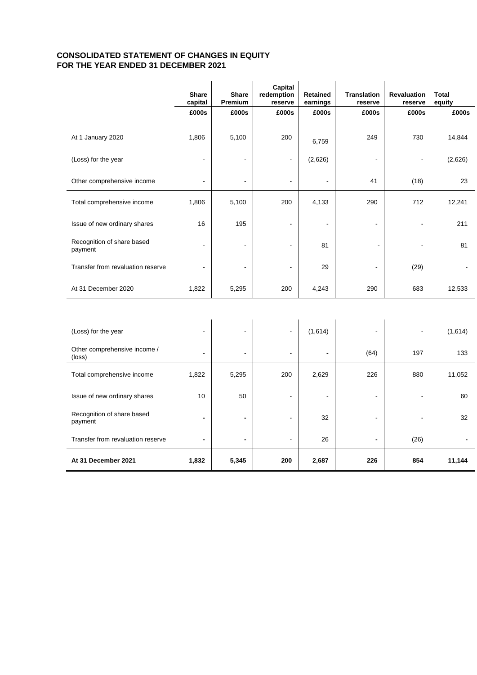# **CONSOLIDATED STATEMENT OF CHANGES IN EQUITY FOR THE YEAR ENDED 31 DECEMBER 2021**

|                                        | <b>Share</b><br>capital | <b>Share</b><br>Premium | Capital<br>redemption<br>reserve | <b>Retained</b><br>earnings | <b>Translation</b><br>reserve | <b>Revaluation</b><br>reserve | <b>Total</b><br>equity |
|----------------------------------------|-------------------------|-------------------------|----------------------------------|-----------------------------|-------------------------------|-------------------------------|------------------------|
|                                        | £000s                   | £000s                   | £000s                            | £000s                       | £000s                         | £000s                         | £000s                  |
| At 1 January 2020                      | 1,806                   | 5,100                   | 200                              | 6,759                       | 249                           | 730                           | 14,844                 |
| (Loss) for the year                    |                         | $\overline{a}$          | $\overline{\phantom{a}}$         | (2,626)                     |                               |                               | (2,626)                |
| Other comprehensive income             |                         |                         |                                  |                             | 41                            | (18)                          | 23                     |
| Total comprehensive income             | 1,806                   | 5,100                   | 200                              | 4,133                       | 290                           | 712                           | 12,241                 |
| Issue of new ordinary shares           | 16                      | 195                     |                                  | $\blacksquare$              | $\blacksquare$                | ۰                             | 211                    |
| Recognition of share based<br>payment  |                         | ä,                      |                                  | 81                          |                               |                               | 81                     |
| Transfer from revaluation reserve      |                         |                         | $\blacksquare$                   | 29                          |                               | (29)                          |                        |
| At 31 December 2020                    | 1,822                   | 5,295                   | 200                              | 4,243                       | 290                           | 683                           | 12,533                 |
|                                        |                         |                         |                                  |                             |                               |                               |                        |
| (Loss) for the year                    |                         |                         |                                  | (1,614)                     |                               |                               | (1,614)                |
| Other comprehensive income /<br>(loss) |                         |                         |                                  |                             | (64)                          | 197                           | 133                    |

| At 31 December 2021                   | 1,832                    | 5,345 | 200 | 2,687 | 226  | 854  | 11,144 |
|---------------------------------------|--------------------------|-------|-----|-------|------|------|--------|
| Transfer from revaluation reserve     | $\overline{\phantom{0}}$ | ٠     |     | 26    | ۰    | (26) |        |
| Recognition of share based<br>payment |                          | ۰     |     | 32    |      |      | 32     |
| Issue of new ordinary shares          | 10                       | 50    |     |       |      |      | 60     |
| Total comprehensive income            | 1,822                    | 5,295 | 200 | 2,629 | 226  | 880  | 11,052 |
| (loss)                                | -                        | -     | -   |       | (64) | 197  | 133    |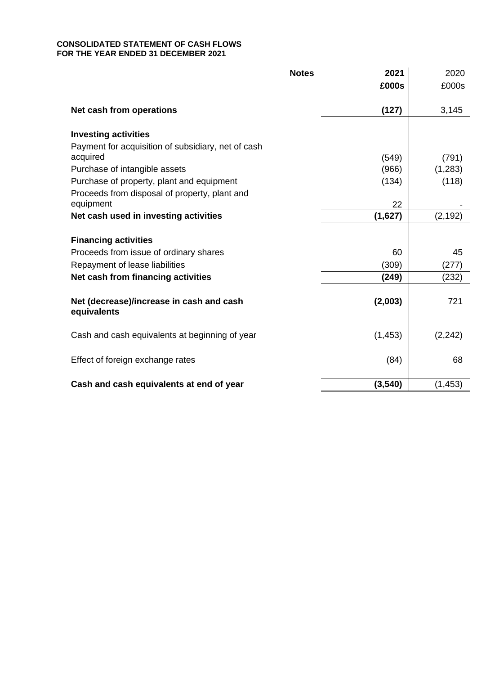# **CONSOLIDATED STATEMENT OF CASH FLOWS FOR THE YEAR ENDED 31 DECEMBER 2021**

|                                                    | <b>Notes</b><br>2021 | 2020     |
|----------------------------------------------------|----------------------|----------|
|                                                    | £000s                | £000s    |
|                                                    |                      |          |
| Net cash from operations                           | (127)                | 3,145    |
|                                                    |                      |          |
| <b>Investing activities</b>                        |                      |          |
| Payment for acquisition of subsidiary, net of cash |                      |          |
| acquired                                           | (549)                | (791)    |
| Purchase of intangible assets                      | (966)                | (1,283)  |
| Purchase of property, plant and equipment          | (134)                | (118)    |
| Proceeds from disposal of property, plant and      |                      |          |
| equipment                                          | 22                   |          |
| Net cash used in investing activities              | (1,627)              | (2, 192) |
|                                                    |                      |          |
| <b>Financing activities</b>                        |                      |          |
| Proceeds from issue of ordinary shares             | 60                   | 45       |
| Repayment of lease liabilities                     | (309)                | (277)    |
| Net cash from financing activities                 | (249)                | (232)    |
|                                                    |                      |          |
| Net (decrease)/increase in cash and cash           | (2,003)              | 721      |
| equivalents                                        |                      |          |
|                                                    |                      |          |
| Cash and cash equivalents at beginning of year     | (1, 453)             | (2, 242) |
|                                                    |                      |          |
| Effect of foreign exchange rates                   | (84)                 | 68       |
|                                                    |                      |          |
| Cash and cash equivalents at end of year           | (3, 540)             | (1, 453) |